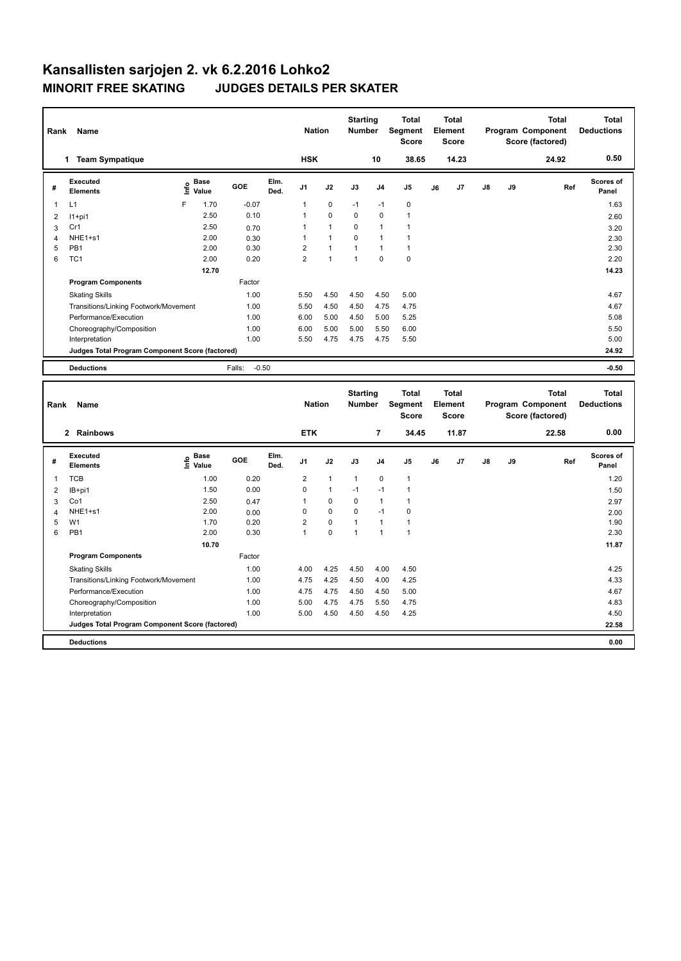| Rank                    | Name                                            |                              |                   |              | <b>Nation</b>  |              | <b>Starting</b><br><b>Number</b> |                | <b>Total</b><br>Segment<br><b>Score</b> |    | <b>Total</b><br>Element<br><b>Score</b> |    |    | <b>Total</b><br>Program Component<br>Score (factored) | <b>Total</b><br><b>Deductions</b> |
|-------------------------|-------------------------------------------------|------------------------------|-------------------|--------------|----------------|--------------|----------------------------------|----------------|-----------------------------------------|----|-----------------------------------------|----|----|-------------------------------------------------------|-----------------------------------|
|                         | 1 Team Sympatique                               |                              |                   |              | <b>HSK</b>     |              |                                  | 10             | 38.65                                   |    | 14.23                                   |    |    | 24.92                                                 | 0.50                              |
| #                       | <b>Executed</b><br><b>Elements</b>              | <b>Base</b><br>١nf٥<br>Value | GOE               | Elm.<br>Ded. | J1             | J2           | J3                               | J <sub>4</sub> | J5                                      | J6 | J7                                      | J8 | J9 | Ref                                                   | Scores of<br>Panel                |
| 1                       | L1                                              | F<br>1.70                    | $-0.07$           |              | 1              | 0            | $-1$                             | $-1$           | 0                                       |    |                                         |    |    |                                                       | 1.63                              |
| $\overline{\mathbf{c}}$ | $11+pi1$                                        | 2.50                         | 0.10              |              | $\mathbf{1}$   | 0            | $\overline{0}$                   | $\mathbf 0$    | $\mathbf{1}$                            |    |                                         |    |    |                                                       | 2.60                              |
| 3                       | Cr1                                             | 2.50                         | 0.70              |              | 1              | 1            | 0                                | $\mathbf{1}$   | $\mathbf{1}$                            |    |                                         |    |    |                                                       | 3.20                              |
| 4                       | NHE1+s1                                         | 2.00                         | 0.30              |              | $\mathbf{1}$   | $\mathbf{1}$ | 0                                | $\mathbf{1}$   | $\mathbf{1}$                            |    |                                         |    |    |                                                       | 2.30                              |
| 5                       | PB <sub>1</sub>                                 | 2.00                         | 0.30              |              | $\overline{2}$ | $\mathbf{1}$ | $\mathbf{1}$                     | $\mathbf{1}$   | $\mathbf{1}$                            |    |                                         |    |    |                                                       | 2.30                              |
| 6                       | TC <sub>1</sub>                                 | 2.00                         | 0.20              |              | $\overline{2}$ | $\mathbf{1}$ | $\mathbf{1}$                     | $\mathbf 0$    | $\mathbf 0$                             |    |                                         |    |    |                                                       | 2.20                              |
|                         |                                                 | 12.70                        |                   |              |                |              |                                  |                |                                         |    |                                         |    |    |                                                       | 14.23                             |
|                         | <b>Program Components</b>                       |                              | Factor            |              |                |              |                                  |                |                                         |    |                                         |    |    |                                                       |                                   |
|                         | <b>Skating Skills</b>                           |                              | 1.00              |              | 5.50           | 4.50         | 4.50                             | 4.50           | 5.00                                    |    |                                         |    |    |                                                       | 4.67                              |
|                         | Transitions/Linking Footwork/Movement           |                              | 1.00              |              | 5.50           | 4.50         | 4.50                             | 4.75           | 4.75                                    |    |                                         |    |    |                                                       | 4.67                              |
|                         | Performance/Execution                           |                              | 1.00              |              | 6.00           | 5.00         | 4.50                             | 5.00           | 5.25                                    |    |                                         |    |    |                                                       | 5.08                              |
|                         | Choreography/Composition                        |                              | 1.00              |              | 6.00           | 5.00         | 5.00                             | 5.50           | 6.00                                    |    |                                         |    |    |                                                       | 5.50                              |
|                         | Interpretation                                  |                              | 1.00              |              | 5.50           | 4.75         | 4.75                             | 4.75           | 5.50                                    |    |                                         |    |    |                                                       | 5.00                              |
|                         | Judges Total Program Component Score (factored) |                              |                   |              |                |              |                                  |                |                                         |    |                                         |    |    |                                                       | 24.92                             |
|                         | <b>Deductions</b>                               |                              | $-0.50$<br>Falls: |              |                |              |                                  |                |                                         |    |                                         |    |    |                                                       | $-0.50$                           |
|                         |                                                 |                              |                   |              |                |              |                                  |                |                                         |    |                                         |    |    |                                                       |                                   |
|                         |                                                 |                              |                   |              |                |              | <b>Starting</b>                  |                | Total                                   |    | <b>Total</b>                            |    |    | <b>Total</b>                                          | <b>Total</b>                      |
| Rank                    | Name                                            |                              |                   |              | <b>Nation</b>  |              | Number                           |                | Segment                                 |    | Element                                 |    |    | Program Component                                     | <b>Deductions</b>                 |
|                         |                                                 |                              |                   |              |                |              |                                  |                | <b>Score</b>                            |    | <b>Score</b>                            |    |    | Score (factored)                                      |                                   |
|                         | 2 Rainbows                                      |                              |                   |              | <b>ETK</b>     |              |                                  | 7              | 34.45                                   |    | 11.87                                   |    |    | 22.58                                                 | 0.00                              |
| #                       | <b>Executed</b><br><b>Elements</b>              | e Base<br>E Value            | GOE               | Elm.<br>Ded. | J1             | J2           | J3                               | J4             | J <sub>5</sub>                          | J6 | J7                                      | J8 | J9 | Ref                                                   | Scores of<br>Panel                |
| 1                       | <b>TCB</b>                                      | 1.00                         | 0.20              |              | $\overline{2}$ | $\mathbf{1}$ | $\mathbf{1}$                     | $\mathbf 0$    | $\mathbf{1}$                            |    |                                         |    |    |                                                       | 1.20                              |
| 2                       | IB+pi1                                          | 1.50                         | 0.00              |              | 0              | $\mathbf{1}$ | $-1$                             | $-1$           | $\mathbf{1}$                            |    |                                         |    |    |                                                       | 1.50                              |
| 3                       | Co1                                             | 2.50                         | 0.47              |              | $\mathbf{1}$   | 0            | $\mathbf 0$                      | $\mathbf{1}$   | $\mathbf{1}$                            |    |                                         |    |    |                                                       | 2.97                              |
| $\overline{4}$          | NHE <sub>1+s1</sub>                             | 2.00                         | 0.00              |              | 0              | 0            | 0                                | $-1$           | $\mathbf 0$                             |    |                                         |    |    |                                                       | 2.00                              |
| 5                       | W <sub>1</sub>                                  | 1.70                         | 0.20              |              | $\overline{2}$ | 0            | 1                                | $\mathbf{1}$   | $\mathbf{1}$                            |    |                                         |    |    |                                                       | 1.90                              |
| 6                       | PB <sub>1</sub>                                 | 2.00                         | 0.30              |              | $\mathbf{1}$   | 0            | $\mathbf{1}$                     | $\mathbf{1}$   | $\mathbf{1}$                            |    |                                         |    |    |                                                       | 2.30                              |
|                         |                                                 | 10.70                        |                   |              |                |              |                                  |                |                                         |    |                                         |    |    |                                                       | 11.87                             |
|                         | <b>Program Components</b>                       |                              | Factor            |              |                |              |                                  |                |                                         |    |                                         |    |    |                                                       |                                   |
|                         | <b>Skating Skills</b>                           |                              | 1.00              |              | 4.00           | 4.25         | 4.50                             | 4.00           | 4.50                                    |    |                                         |    |    |                                                       | 4.25                              |
|                         | Transitions/Linking Footwork/Movement           |                              |                   |              |                |              |                                  |                |                                         |    |                                         |    |    |                                                       | 4.33                              |
|                         |                                                 |                              | 1.00              |              | 4.75           | 4.25         | 4.50                             | 4.00           | 4.25                                    |    |                                         |    |    |                                                       |                                   |
|                         | Performance/Execution                           |                              | 1.00              |              | 4.75           | 4.75         | 4.50                             | 4.50           | 5.00                                    |    |                                         |    |    |                                                       | 4.67                              |
|                         | Choreography/Composition                        |                              | 1.00              |              | 5.00           | 4.75         | 4.75                             | 5.50           | 4.75                                    |    |                                         |    |    |                                                       | 4.83                              |
|                         | Interpretation                                  |                              | 1.00              |              | 5.00           | 4.50         | 4.50                             | 4.50           | 4.25                                    |    |                                         |    |    |                                                       | 4.50                              |

**Deductions 0.00**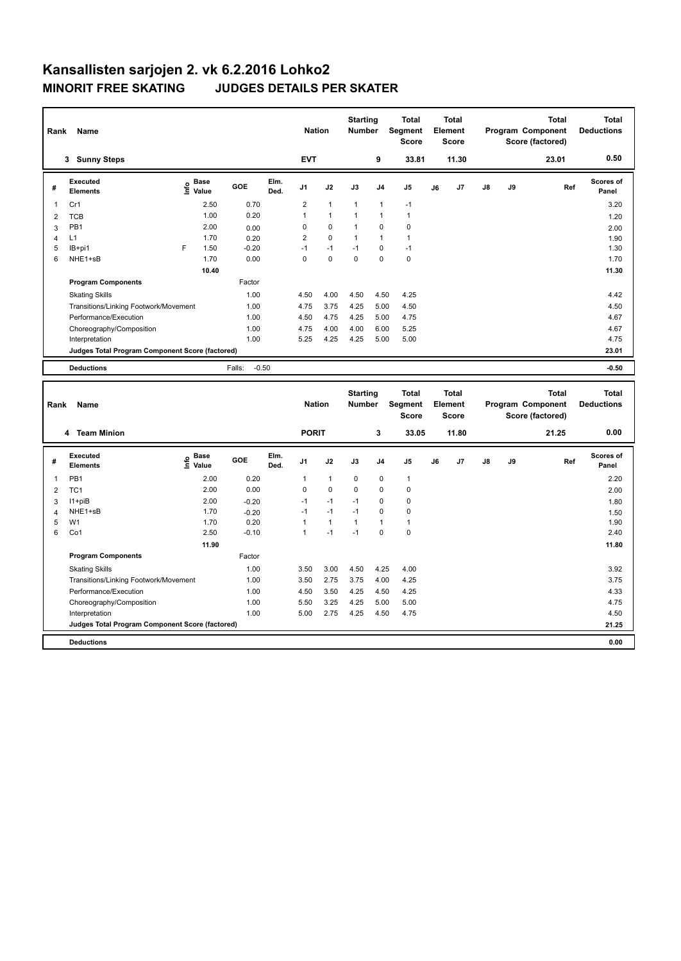| Rank           | Name                                            |                                  |                   |              | <b>Nation</b>  |              | <b>Starting</b><br>Number |                | <b>Total</b><br>Segment<br><b>Score</b> |    | <b>Total</b><br>Element<br><b>Score</b> |    |    | <b>Total</b><br>Program Component<br>Score (factored) | <b>Total</b><br><b>Deductions</b> |
|----------------|-------------------------------------------------|----------------------------------|-------------------|--------------|----------------|--------------|---------------------------|----------------|-----------------------------------------|----|-----------------------------------------|----|----|-------------------------------------------------------|-----------------------------------|
|                | 3 Sunny Steps                                   |                                  |                   |              | <b>EVT</b>     |              |                           | 9              | 33.81                                   |    | 11.30                                   |    |    | 23.01                                                 | 0.50                              |
| #              | Executed<br><b>Elements</b>                     | <b>Base</b><br>e Base<br>⊆ Value | GOE               | Elm.<br>Ded. | J <sub>1</sub> | J2           | J3                        | J <sub>4</sub> | J <sub>5</sub>                          | J6 | J7                                      | J8 | J9 | Ref                                                   | <b>Scores of</b><br>Panel         |
| 1              | Cr1                                             | 2.50                             | 0.70              |              | 2              | $\mathbf{1}$ | 1                         | $\mathbf{1}$   | $-1$                                    |    |                                         |    |    |                                                       | 3.20                              |
| $\overline{2}$ | <b>TCB</b>                                      | 1.00                             | 0.20              |              | $\mathbf{1}$   | $\mathbf{1}$ | 1                         | $\overline{1}$ | $\mathbf{1}$                            |    |                                         |    |    |                                                       | 1.20                              |
| 3              | PB1                                             | 2.00                             | 0.00              |              | 0              | 0            | 1                         | $\mathbf 0$    | $\mathbf 0$                             |    |                                         |    |    |                                                       | 2.00                              |
| 4              | L1                                              | 1.70                             | 0.20              |              | $\overline{2}$ | $\mathbf 0$  | 1                         | $\mathbf{1}$   | $\mathbf{1}$                            |    |                                         |    |    |                                                       | 1.90                              |
| 5              | IB+pi1                                          | F<br>1.50                        | $-0.20$           |              | $-1$           | $-1$         | $-1$                      | $\mathbf 0$    | $-1$                                    |    |                                         |    |    |                                                       | 1.30                              |
| 6              | NHE1+sB                                         | 1.70                             | 0.00              |              | $\mathbf 0$    | 0            | 0                         | $\mathbf 0$    | $\mathbf 0$                             |    |                                         |    |    |                                                       | 1.70                              |
|                |                                                 | 10.40                            |                   |              |                |              |                           |                |                                         |    |                                         |    |    |                                                       | 11.30                             |
|                | <b>Program Components</b>                       |                                  | Factor            |              |                |              |                           |                |                                         |    |                                         |    |    |                                                       |                                   |
|                | <b>Skating Skills</b>                           |                                  | 1.00              |              | 4.50           | 4.00         | 4.50                      | 4.50           | 4.25                                    |    |                                         |    |    |                                                       | 4.42                              |
|                | Transitions/Linking Footwork/Movement           |                                  | 1.00              |              | 4.75           | 3.75         | 4.25                      | 5.00           | 4.50                                    |    |                                         |    |    |                                                       | 4.50                              |
|                | Performance/Execution                           |                                  | 1.00              |              | 4.50           | 4.75         | 4.25                      | 5.00           | 4.75                                    |    |                                         |    |    |                                                       | 4.67                              |
|                | Choreography/Composition                        |                                  | 1.00              |              | 4.75           | 4.00         | 4.00                      | 6.00           | 5.25                                    |    |                                         |    |    |                                                       | 4.67                              |
|                | Interpretation                                  |                                  | 1.00              |              | 5.25           | 4.25         | 4.25                      | 5.00           | 5.00                                    |    |                                         |    |    |                                                       | 4.75                              |
|                | Judges Total Program Component Score (factored) |                                  |                   |              |                |              |                           |                |                                         |    |                                         |    |    |                                                       | 23.01                             |
|                | <b>Deductions</b>                               |                                  | $-0.50$<br>Falls: |              |                |              |                           |                |                                         |    |                                         |    |    |                                                       | $-0.50$                           |
|                |                                                 |                                  |                   |              |                |              |                           |                |                                         |    |                                         |    |    |                                                       |                                   |
|                |                                                 |                                  |                   |              |                |              | <b>Starting</b>           |                | Total                                   |    | <b>Total</b>                            |    |    | Total                                                 |                                   |
| Rank           | Name                                            |                                  |                   |              |                |              |                           |                |                                         |    |                                         |    |    |                                                       |                                   |
|                |                                                 |                                  |                   |              | <b>Nation</b>  |              | <b>Number</b>             |                | Segment                                 |    | Element                                 |    |    | Program Component                                     | <b>Total</b><br><b>Deductions</b> |
|                |                                                 |                                  |                   |              |                |              |                           |                | <b>Score</b>                            |    | <b>Score</b>                            |    |    | Score (factored)                                      |                                   |
|                | 4 Team Minion                                   |                                  |                   |              | <b>PORIT</b>   |              |                           | 3              | 33.05                                   |    | 11.80                                   |    |    | 21.25                                                 | 0.00                              |
|                |                                                 |                                  |                   |              |                |              |                           |                |                                         |    |                                         |    |    |                                                       |                                   |
| #              | <b>Executed</b><br><b>Elements</b>              | e Base<br>E Value                | GOE               | Elm.<br>Ded. | J1             | J2           | J3                        | J <sub>4</sub> | J5                                      | J6 | J7                                      | J8 | J9 | Ref                                                   | Scores of<br>Panel                |
| 1              | PB <sub>1</sub>                                 | 2.00                             | 0.20              |              | 1              | $\mathbf{1}$ | 0                         | $\mathbf 0$    | $\mathbf{1}$                            |    |                                         |    |    |                                                       | 2.20                              |
| $\overline{2}$ | TC <sub>1</sub>                                 | 2.00                             | 0.00              |              | 0              | $\mathbf 0$  | 0                         | $\mathbf 0$    | $\mathbf 0$                             |    |                                         |    |    |                                                       | 2.00                              |
| 3              | $11 + piB$                                      | 2.00                             | $-0.20$           |              | $-1$           | $-1$         | $-1$                      | $\mathbf 0$    | $\mathbf 0$                             |    |                                         |    |    |                                                       | 1.80                              |
| $\overline{4}$ | NHE1+sB                                         | 1.70                             | $-0.20$           |              | $-1$           | $-1$         | $-1$                      | $\mathbf 0$    | $\mathbf 0$                             |    |                                         |    |    |                                                       | 1.50                              |
| 5              | W <sub>1</sub>                                  | 1.70                             | 0.20              |              | $\mathbf{1}$   | $\mathbf{1}$ | $\mathbf{1}$              | $\mathbf{1}$   | $\mathbf{1}$                            |    |                                         |    |    |                                                       | 1.90                              |
| 6              | Co1                                             | 2.50                             | $-0.10$           |              | $\mathbf{1}$   | $-1$         | $-1$                      | $\mathbf 0$    | $\mathbf 0$                             |    |                                         |    |    |                                                       | 2.40                              |
|                |                                                 | 11.90                            |                   |              |                |              |                           |                |                                         |    |                                         |    |    |                                                       | 11.80                             |
|                | <b>Program Components</b>                       |                                  | Factor            |              |                |              |                           |                |                                         |    |                                         |    |    |                                                       |                                   |
|                | <b>Skating Skills</b>                           |                                  | 1.00              |              | 3.50           | 3.00         | 4.50                      | 4.25           | 4.00                                    |    |                                         |    |    |                                                       | 3.92                              |
|                | Transitions/Linking Footwork/Movement           |                                  | 1.00              |              | 3.50           | 2.75         | 3.75                      | 4.00           | 4.25                                    |    |                                         |    |    |                                                       | 3.75                              |
|                | Performance/Execution                           |                                  | 1.00              |              | 4.50           | 3.50         | 4.25                      | 4.50           | 4.25                                    |    |                                         |    |    |                                                       | 4.33                              |
|                | Choreography/Composition                        |                                  | 1.00              |              | 5.50           | 3.25         | 4.25                      | 5.00           | 5.00                                    |    |                                         |    |    |                                                       | 4.75                              |
|                | Interpretation                                  |                                  | 1.00              |              | 5.00           | 2.75         | 4.25                      | 4.50           | 4.75                                    |    |                                         |    |    |                                                       | 4.50                              |

**Deductions 0.00**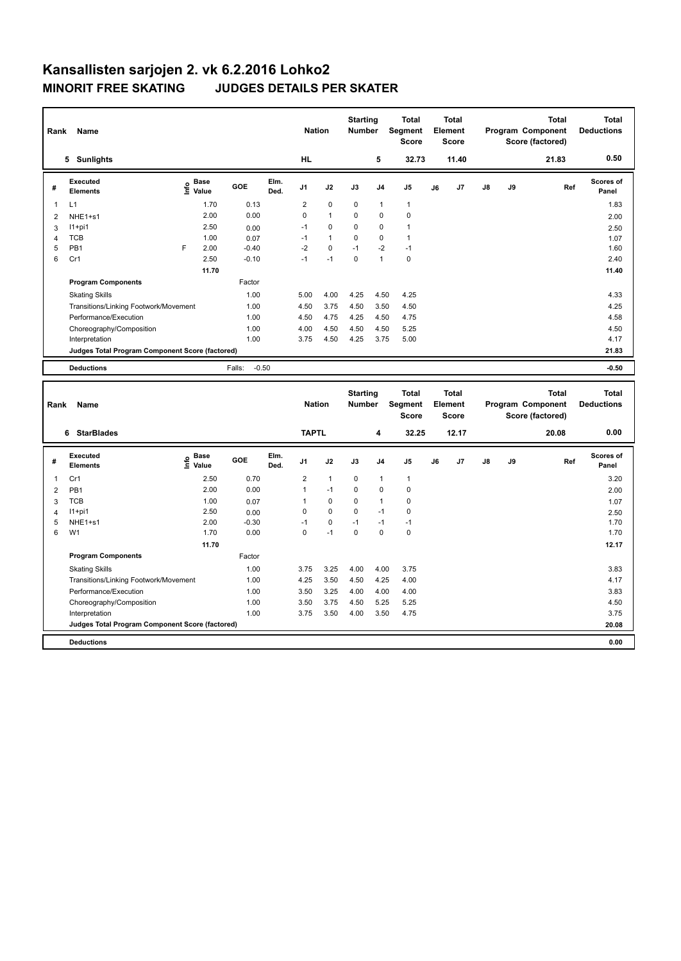| Rank                | Name                                                           |                           |                 |              | <b>Nation</b>       |                         | <b>Starting</b><br>Number        |                             | <b>Total</b><br>Segment<br><b>Score</b> |    | <b>Total</b><br>Element<br><b>Score</b> |    |    | <b>Total</b><br>Program Component<br>Score (factored) | <b>Total</b><br><b>Deductions</b> |
|---------------------|----------------------------------------------------------------|---------------------------|-----------------|--------------|---------------------|-------------------------|----------------------------------|-----------------------------|-----------------------------------------|----|-----------------------------------------|----|----|-------------------------------------------------------|-----------------------------------|
|                     | 5 Sunlights                                                    |                           |                 |              | <b>HL</b>           |                         |                                  | 5                           | 32.73                                   |    | 11.40                                   |    |    | 21.83                                                 | 0.50                              |
| #                   | <b>Executed</b><br><b>Elements</b>                             | Base<br>e Base<br>E Value | <b>GOE</b>      | Elm.<br>Ded. | J1                  | J2                      | J3                               | J4                          | J5                                      | J6 | J7                                      | J8 | J9 | Ref                                                   | Scores of<br>Panel                |
| $\mathbf{1}$        | L1                                                             | 1.70                      | 0.13            |              | $\overline{2}$      | $\pmb{0}$               | $\mathbf 0$                      | $\mathbf{1}$                | $\mathbf{1}$                            |    |                                         |    |    |                                                       | 1.83                              |
| $\overline{2}$      | NHE1+s1                                                        | 2.00                      | 0.00            |              | 0                   | $\mathbf{1}$            | 0                                | $\mathbf 0$                 | 0                                       |    |                                         |    |    |                                                       | 2.00                              |
| 3                   | $11+pi1$                                                       | 2.50                      | 0.00            |              | $-1$                | 0                       | 0                                | $\mathbf 0$                 | $\mathbf{1}$                            |    |                                         |    |    |                                                       | 2.50                              |
| $\overline{4}$      | <b>TCB</b>                                                     | 1.00                      | 0.07            |              | $-1$                | $\mathbf{1}$            | 0                                | $\mathbf 0$                 | $\mathbf{1}$                            |    |                                         |    |    |                                                       | 1.07                              |
| 5                   | PB1                                                            | F<br>2.00                 | $-0.40$         |              | $-2$                | 0                       | $-1$                             | $-2$                        | $-1$                                    |    |                                         |    |    |                                                       | 1.60                              |
| 6                   | Cr1                                                            | 2.50                      | $-0.10$         |              | $-1$                | $-1$                    | 0                                | $\mathbf{1}$                | $\pmb{0}$                               |    |                                         |    |    |                                                       | 2.40                              |
|                     |                                                                | 11.70                     |                 |              |                     |                         |                                  |                             |                                         |    |                                         |    |    |                                                       | 11.40                             |
|                     | <b>Program Components</b>                                      |                           | Factor          |              |                     |                         |                                  |                             |                                         |    |                                         |    |    |                                                       |                                   |
|                     | <b>Skating Skills</b>                                          |                           | 1.00            |              | 5.00                | 4.00                    | 4.25                             | 4.50                        | 4.25                                    |    |                                         |    |    |                                                       | 4.33                              |
|                     | Transitions/Linking Footwork/Movement                          |                           | 1.00            |              | 4.50                | 3.75                    | 4.50                             | 3.50                        | 4.50                                    |    |                                         |    |    |                                                       | 4.25                              |
|                     | Performance/Execution                                          |                           | 1.00            |              | 4.50                | 4.75                    | 4.25                             | 4.50                        | 4.75                                    |    |                                         |    |    |                                                       | 4.58                              |
|                     | Choreography/Composition                                       |                           | 1.00            |              | 4.00                | 4.50                    | 4.50                             | 4.50                        | 5.25                                    |    |                                         |    |    |                                                       | 4.50                              |
|                     | Interpretation                                                 |                           | 1.00            |              | 3.75                | 4.50                    | 4.25                             | 3.75                        | 5.00                                    |    |                                         |    |    |                                                       | 4.17                              |
|                     | Judges Total Program Component Score (factored)                |                           |                 |              |                     |                         |                                  |                             |                                         |    |                                         |    |    |                                                       | 21.83                             |
|                     |                                                                |                           |                 |              |                     |                         |                                  |                             |                                         |    |                                         |    |    |                                                       |                                   |
|                     | <b>Deductions</b>                                              |                           | Falls:          | $-0.50$      |                     |                         |                                  |                             |                                         |    |                                         |    |    |                                                       | $-0.50$                           |
|                     |                                                                |                           |                 |              |                     |                         |                                  |                             |                                         |    |                                         |    |    |                                                       |                                   |
| Rank                | Name                                                           |                           |                 |              | <b>Nation</b>       |                         | <b>Starting</b><br><b>Number</b> |                             | <b>Total</b><br>Segment<br><b>Score</b> |    | <b>Total</b><br>Element<br><b>Score</b> |    |    | <b>Total</b><br>Program Component<br>Score (factored) | <b>Total</b><br><b>Deductions</b> |
|                     | 6 StarBlades                                                   |                           |                 |              | <b>TAPTL</b>        |                         |                                  | 4                           | 32.25                                   |    | 12.17                                   |    |    | 20.08                                                 | 0.00                              |
| #                   | <b>Executed</b><br><b>Elements</b>                             |                           | GOE             | Elm.<br>Ded. | J1                  | J2                      | J3                               | J4                          | J <sub>5</sub>                          | J6 | J7                                      | J8 | J9 | Ref                                                   | Scores of<br>Panel                |
| -1                  |                                                                | $E$ Base<br>E Value       |                 |              |                     |                         |                                  |                             |                                         |    |                                         |    |    |                                                       |                                   |
|                     | Cr1                                                            | 2.50                      | 0.70            |              | $\overline{2}$<br>1 | $\mathbf{1}$<br>$-1$    | 0<br>0                           | $\mathbf{1}$<br>$\mathbf 0$ | $\mathbf{1}$<br>$\mathbf 0$             |    |                                         |    |    |                                                       | 3.20                              |
| $\overline{2}$      | PB1                                                            | 2.00                      | 0.00            |              |                     |                         |                                  |                             |                                         |    |                                         |    |    |                                                       | 2.00                              |
| 3                   | <b>TCB</b><br>$11+pi1$                                         | 1.00<br>2.50              | 0.07            |              | 1<br>$\mathbf 0$    | $\mathbf 0$<br>$\Omega$ | 0<br>0                           | $\mathbf{1}$<br>$-1$        | $\pmb{0}$<br>$\mathbf 0$                |    |                                         |    |    |                                                       | 1.07                              |
| $\overline{4}$<br>5 |                                                                |                           | 0.00            |              | $-1$                | 0                       | $-1$                             | $-1$                        | $-1$                                    |    |                                         |    |    |                                                       | 2.50                              |
| 6                   | NHE1+s1<br>W <sub>1</sub>                                      | 2.00<br>1.70              | $-0.30$<br>0.00 |              | $\mathbf 0$         | $-1$                    | $\mathbf 0$                      | $\mathbf 0$                 | $\mathbf 0$                             |    |                                         |    |    |                                                       | 1.70<br>1.70                      |
|                     |                                                                | 11.70                     |                 |              |                     |                         |                                  |                             |                                         |    |                                         |    |    |                                                       | 12.17                             |
|                     | <b>Program Components</b>                                      |                           | Factor          |              |                     |                         |                                  |                             |                                         |    |                                         |    |    |                                                       |                                   |
|                     |                                                                |                           |                 |              |                     |                         |                                  |                             |                                         |    |                                         |    |    |                                                       |                                   |
|                     | <b>Skating Skills</b>                                          |                           | 1.00<br>1.00    |              | 3.75<br>4.25        | 3.25<br>3.50            | 4.00<br>4.50                     | 4.00<br>4.25                | 3.75<br>4.00                            |    |                                         |    |    |                                                       | 3.83<br>4.17                      |
|                     | Transitions/Linking Footwork/Movement<br>Performance/Execution |                           | 1.00            |              | 3.50                | 3.25                    | 4.00                             | 4.00                        | 4.00                                    |    |                                         |    |    |                                                       | 3.83                              |

Interpretation 1.00 3.75 3.50 4.00 3.50 4.75 3.75

**Judges Total Program Component Score (factored) 20.08**

**Deductions 0.00**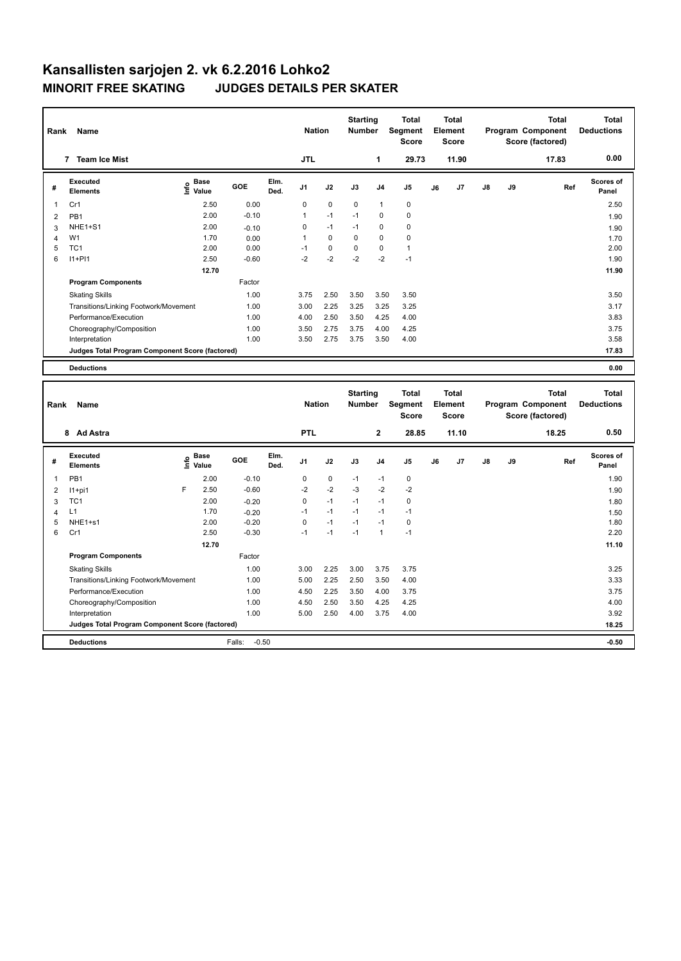| Rank         | <b>Name</b>                                     |                              |         |              | <b>Nation</b>  |             | <b>Starting</b><br><b>Number</b> |                | Total<br>Segment<br><b>Score</b>        |    | <b>Total</b><br>Element<br><b>Score</b> |    |    | <b>Total</b><br>Program Component<br>Score (factored) |     | Total<br><b>Deductions</b>        |
|--------------|-------------------------------------------------|------------------------------|---------|--------------|----------------|-------------|----------------------------------|----------------|-----------------------------------------|----|-----------------------------------------|----|----|-------------------------------------------------------|-----|-----------------------------------|
|              | 7 Team Ice Mist                                 |                              |         |              | <b>JTL</b>     |             |                                  | 1              | 29.73                                   |    | 11.90                                   |    |    | 17.83                                                 |     | 0.00                              |
| #            | Executed<br><b>Elements</b>                     | <b>Base</b><br>lnfo<br>Value | GOE     | Elm.<br>Ded. | J <sub>1</sub> | J2          | J3                               | J <sub>4</sub> | J <sub>5</sub>                          | J6 | J <sub>7</sub>                          | J8 | J9 |                                                       | Ref | Scores of<br>Panel                |
| $\mathbf{1}$ | Cr1                                             | 2.50                         | 0.00    |              | 0              | $\mathbf 0$ | $\mathbf 0$                      | 1              | 0                                       |    |                                         |    |    |                                                       |     | 2.50                              |
| 2            | PB <sub>1</sub>                                 | 2.00                         | $-0.10$ |              | 1              | $-1$        | $-1$                             | $\mathbf 0$    | $\mathbf 0$                             |    |                                         |    |    |                                                       |     | 1.90                              |
| 3            | NHE1+S1                                         | 2.00                         | $-0.10$ |              | 0              | $-1$        | $-1$                             | $\mathbf 0$    | $\mathbf 0$                             |    |                                         |    |    |                                                       |     | 1.90                              |
| 4            | W1                                              | 1.70                         | 0.00    |              |                | $\Omega$    | $\Omega$                         | $\mathbf 0$    | $\mathbf 0$                             |    |                                         |    |    |                                                       |     | 1.70                              |
| 5            | TC <sub>1</sub>                                 | 2.00                         | 0.00    |              | $-1$           | $\pmb{0}$   | $\Omega$                         | $\mathbf 0$    | $\mathbf{1}$                            |    |                                         |    |    |                                                       |     | 2.00                              |
| 6            | $11+PI1$                                        | 2.50                         | $-0.60$ |              | $-2$           | $-2$        | $-2$                             | $-2$           | $-1$                                    |    |                                         |    |    |                                                       |     | 1.90                              |
|              |                                                 | 12.70                        |         |              |                |             |                                  |                |                                         |    |                                         |    |    |                                                       |     | 11.90                             |
|              | <b>Program Components</b>                       |                              | Factor  |              |                |             |                                  |                |                                         |    |                                         |    |    |                                                       |     |                                   |
|              | <b>Skating Skills</b>                           |                              | 1.00    |              | 3.75           | 2.50        | 3.50                             | 3.50           | 3.50                                    |    |                                         |    |    |                                                       |     | 3.50                              |
|              | Transitions/Linking Footwork/Movement           |                              | 1.00    |              | 3.00           | 2.25        | 3.25                             | 3.25           | 3.25                                    |    |                                         |    |    |                                                       |     | 3.17                              |
|              | Performance/Execution                           |                              | 1.00    |              | 4.00           | 2.50        | 3.50                             | 4.25           | 4.00                                    |    |                                         |    |    |                                                       |     | 3.83                              |
|              | Choreography/Composition                        |                              | 1.00    |              | 3.50           | 2.75        | 3.75                             | 4.00           | 4.25                                    |    |                                         |    |    |                                                       |     | 3.75                              |
|              | Interpretation                                  |                              | 1.00    |              | 3.50           | 2.75        | 3.75                             | 3.50           | 4.00                                    |    |                                         |    |    |                                                       |     | 3.58                              |
|              | Judges Total Program Component Score (factored) |                              |         |              |                |             |                                  |                |                                         |    |                                         |    |    |                                                       |     | 17.83                             |
|              | <b>Deductions</b>                               |                              |         |              |                |             |                                  |                |                                         |    |                                         |    |    |                                                       |     | 0.00                              |
| Rank         | <b>Name</b>                                     |                              |         |              | <b>Nation</b>  |             | <b>Starting</b><br><b>Number</b> |                | <b>Total</b><br>Segment<br><b>Score</b> |    | <b>Total</b><br>Element<br><b>Score</b> |    |    | <b>Total</b><br>Program Component<br>Score (factored) |     | <b>Total</b><br><b>Deductions</b> |

|                |                                                 |      |                      |                   |              |                |      |      |                | <b>Score</b> |    | <b>Score</b> |               |    | Score (factored) |                    |
|----------------|-------------------------------------------------|------|----------------------|-------------------|--------------|----------------|------|------|----------------|--------------|----|--------------|---------------|----|------------------|--------------------|
|                | <b>Ad Astra</b><br>8                            |      |                      |                   |              | <b>PTL</b>     |      |      | $\overline{2}$ | 28.85        |    | 11.10        |               |    | 18.25            | 0.50               |
| #              | Executed<br><b>Elements</b>                     | Info | <b>Base</b><br>Value | <b>GOE</b>        | Elm.<br>Ded. | J <sub>1</sub> | J2   | J3   | J <sub>4</sub> | J5           | J6 | J7           | $\mathsf{J}8$ | J9 | Ref              | Scores of<br>Panel |
| $\overline{1}$ | PB1                                             |      | 2.00                 | $-0.10$           |              | 0              | 0    | $-1$ | $-1$           | 0            |    |              |               |    |                  | 1.90               |
| 2              | $11+pi1$                                        | F    | 2.50                 | $-0.60$           |              | $-2$           | $-2$ | $-3$ | $-2$           | $-2$         |    |              |               |    |                  | 1.90               |
| 3              | TC <sub>1</sub>                                 |      | 2.00                 | $-0.20$           |              | 0              | $-1$ | $-1$ | $-1$           | 0            |    |              |               |    |                  | 1.80               |
| 4              | L1                                              |      | 1.70                 | $-0.20$           |              | $-1$           | $-1$ | $-1$ | $-1$           | $-1$         |    |              |               |    |                  | 1.50               |
| 5              | NHE1+s1                                         |      | 2.00                 | $-0.20$           |              | 0              | $-1$ | $-1$ | $-1$           | 0            |    |              |               |    |                  | 1.80               |
| 6              | Cr1                                             |      | 2.50                 | $-0.30$           |              | $-1$           | $-1$ | $-1$ | $\mathbf{1}$   | $-1$         |    |              |               |    |                  | 2.20               |
|                |                                                 |      | 12.70                |                   |              |                |      |      |                |              |    |              |               |    |                  | 11.10              |
|                | <b>Program Components</b>                       |      |                      | Factor            |              |                |      |      |                |              |    |              |               |    |                  |                    |
|                | <b>Skating Skills</b>                           |      |                      | 1.00              |              | 3.00           | 2.25 | 3.00 | 3.75           | 3.75         |    |              |               |    |                  | 3.25               |
|                | Transitions/Linking Footwork/Movement           |      |                      | 1.00              |              | 5.00           | 2.25 | 2.50 | 3.50           | 4.00         |    |              |               |    |                  | 3.33               |
|                | Performance/Execution                           |      |                      | 1.00              |              | 4.50           | 2.25 | 3.50 | 4.00           | 3.75         |    |              |               |    |                  | 3.75               |
|                | Choreography/Composition                        |      |                      | 1.00              |              | 4.50           | 2.50 | 3.50 | 4.25           | 4.25         |    |              |               |    |                  | 4.00               |
|                | Interpretation                                  |      |                      | 1.00              |              | 5.00           | 2.50 | 4.00 | 3.75           | 4.00         |    |              |               |    |                  | 3.92               |
|                | Judges Total Program Component Score (factored) |      |                      |                   |              |                |      |      |                |              |    |              |               |    |                  | 18.25              |
|                | <b>Deductions</b>                               |      |                      | Falls:<br>$-0.50$ |              |                |      |      |                |              |    |              |               |    |                  | $-0.50$            |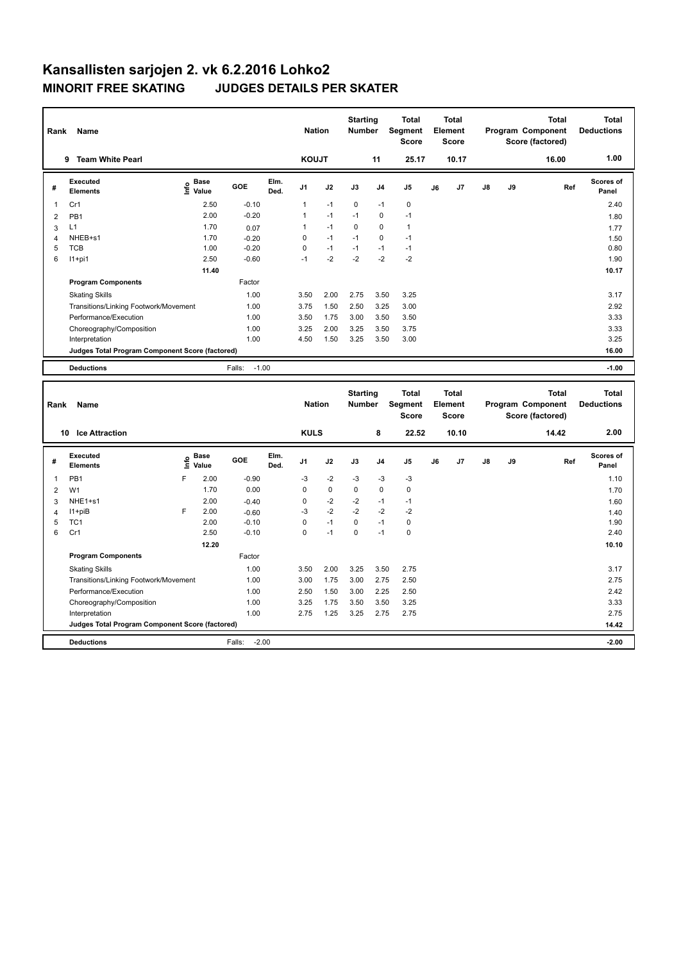| Rank           | Name                                            |      |                      |                    |              | <b>Nation</b> |             | <b>Starting</b><br><b>Number</b> |                | <b>Total</b><br>Segment<br><b>Score</b> |    | <b>Total</b><br>Element<br><b>Score</b> |    |    | <b>Total</b><br>Program Component<br>Score (factored) |     | <b>Total</b><br><b>Deductions</b> |
|----------------|-------------------------------------------------|------|----------------------|--------------------|--------------|---------------|-------------|----------------------------------|----------------|-----------------------------------------|----|-----------------------------------------|----|----|-------------------------------------------------------|-----|-----------------------------------|
|                | 9 Team White Pearl                              |      |                      |                    |              | <b>KOUJT</b>  |             |                                  | 11             | 25.17                                   |    | 10.17                                   |    |    | 16.00                                                 |     | 1.00                              |
| #              | <b>Executed</b><br><b>Elements</b>              |      | e Base<br>E Value    | GOE                | Elm.<br>Ded. | J1            | J2          | J3                               | J <sub>4</sub> | J5                                      | J6 | J7                                      | J8 | J9 |                                                       | Ref | Scores of<br>Panel                |
| 1              | Cr1                                             |      | 2.50                 | $-0.10$            |              | $\mathbf{1}$  | $-1$        | $\mathbf 0$                      | $-1$           | $\mathbf 0$                             |    |                                         |    |    |                                                       |     | 2.40                              |
| $\overline{2}$ | PB <sub>1</sub>                                 |      | 2.00                 | $-0.20$            |              | 1             | $-1$        | $-1$                             | $\mathbf 0$    | $-1$                                    |    |                                         |    |    |                                                       |     | 1.80                              |
| 3              | L1                                              |      | 1.70                 | 0.07               |              | 1             | $-1$        | 0                                | $\mathbf 0$    | $\mathbf{1}$                            |    |                                         |    |    |                                                       |     | 1.77                              |
| $\overline{4}$ | NHEB+s1                                         |      | 1.70                 | $-0.20$            |              | 0             | $-1$        | $-1$                             | $\mathbf 0$    | $-1$                                    |    |                                         |    |    |                                                       |     | 1.50                              |
| 5              | <b>TCB</b>                                      |      | 1.00                 | $-0.20$            |              | $\mathbf 0$   | $-1$        | $-1$                             | $-1$           | $-1$                                    |    |                                         |    |    |                                                       |     | 0.80                              |
| 6              | $11+pi1$                                        |      | 2.50                 | $-0.60$            |              | $-1$          | $-2$        | $-2$                             | $-2$           | $-2$                                    |    |                                         |    |    |                                                       |     | 1.90                              |
|                |                                                 |      | 11.40                |                    |              |               |             |                                  |                |                                         |    |                                         |    |    |                                                       |     | 10.17                             |
|                | <b>Program Components</b>                       |      |                      | Factor             |              |               |             |                                  |                |                                         |    |                                         |    |    |                                                       |     |                                   |
|                | <b>Skating Skills</b>                           |      |                      | 1.00               |              | 3.50          | 2.00        | 2.75                             | 3.50           | 3.25                                    |    |                                         |    |    |                                                       |     | 3.17                              |
|                | Transitions/Linking Footwork/Movement           |      |                      | 1.00               |              | 3.75          | 1.50        | 2.50                             | 3.25           | 3.00                                    |    |                                         |    |    |                                                       |     | 2.92                              |
|                | Performance/Execution                           |      |                      | 1.00               |              | 3.50          | 1.75        | 3.00                             | 3.50           | 3.50                                    |    |                                         |    |    |                                                       |     | 3.33                              |
|                | Choreography/Composition                        |      |                      | 1.00               |              | 3.25          | 2.00        | 3.25                             | 3.50           | 3.75                                    |    |                                         |    |    |                                                       |     | 3.33                              |
|                | Interpretation                                  |      |                      | 1.00               |              | 4.50          | 1.50        | 3.25                             | 3.50           | 3.00                                    |    |                                         |    |    |                                                       |     | 3.25                              |
|                | Judges Total Program Component Score (factored) |      |                      |                    |              |               |             |                                  |                |                                         |    |                                         |    |    |                                                       |     | 16.00                             |
|                | <b>Deductions</b>                               |      |                      | $-1.00$<br>Falls:  |              |               |             |                                  |                |                                         |    |                                         |    |    |                                                       |     | $-1.00$                           |
|                |                                                 |      |                      |                    |              |               |             |                                  |                |                                         |    |                                         |    |    |                                                       |     |                                   |
|                |                                                 |      |                      |                    |              |               |             |                                  |                |                                         |    |                                         |    |    |                                                       |     |                                   |
| Rank           | Name                                            |      |                      |                    |              | <b>Nation</b> |             | <b>Starting</b><br>Number        |                | <b>Total</b><br>Segment<br><b>Score</b> |    | <b>Total</b><br>Element<br><b>Score</b> |    |    | <b>Total</b><br>Program Component<br>Score (factored) |     | <b>Total</b><br><b>Deductions</b> |
|                | 10 Ice Attraction                               |      |                      |                    |              | <b>KULS</b>   |             |                                  | 8              | 22.52                                   |    | 10.10                                   |    |    | 14.42                                                 |     | 2.00                              |
| #              | <b>Executed</b><br><b>Elements</b>              | ١mfo | <b>Base</b><br>Value | GOE                | Elm.<br>Ded. | J1            | J2          | J3                               | J <sub>4</sub> | J5                                      | J6 | J7                                      | J8 | J9 |                                                       | Ref | Scores of<br>Panel                |
| 1              | PB <sub>1</sub>                                 | F    | 2.00                 | $-0.90$            |              | $-3$          | $-2$        | $-3$                             | $-3$           | $-3$                                    |    |                                         |    |    |                                                       |     | 1.10                              |
|                |                                                 |      |                      |                    |              | 0             | $\mathbf 0$ | 0                                | $\mathbf 0$    | $\Omega$                                |    |                                         |    |    |                                                       |     |                                   |
| $\overline{2}$ | W <sub>1</sub><br>NHE1+s1                       |      | 1.70<br>2.00         | 0.00               |              | 0             | $-2$        | $-2$                             | $-1$           | $-1$                                    |    |                                         |    |    |                                                       |     | 1.70                              |
| 3              | $11 + piB$                                      | F    | 2.00                 | $-0.40$            |              | -3            | $-2$        | $-2$                             | $-2$           | $-2$                                    |    |                                         |    |    |                                                       |     | 1.60                              |
| 4<br>5         | TC <sub>1</sub>                                 |      | 2.00                 | $-0.60$<br>$-0.10$ |              | 0             | $-1$        | 0                                | $-1$           | $\pmb{0}$                               |    |                                         |    |    |                                                       |     | 1.40<br>1.90                      |
| 6              | Cr1                                             |      | 2.50                 | $-0.10$            |              | 0             | $-1$        | 0                                | $-1$           | $\pmb{0}$                               |    |                                         |    |    |                                                       |     | 2.40                              |
|                |                                                 |      | 12.20                |                    |              |               |             |                                  |                |                                         |    |                                         |    |    |                                                       |     | 10.10                             |
|                | <b>Program Components</b>                       |      |                      | Factor             |              |               |             |                                  |                |                                         |    |                                         |    |    |                                                       |     |                                   |
|                | <b>Skating Skills</b>                           |      |                      | 1.00               |              | 3.50          | 2.00        | 3.25                             | 3.50           | 2.75                                    |    |                                         |    |    |                                                       |     | 3.17                              |
|                | Transitions/Linking Footwork/Movement           |      |                      | 1.00               |              | 3.00          | 1.75        | 3.00                             | 2.75           | 2.50                                    |    |                                         |    |    |                                                       |     | 2.75                              |
|                | Performance/Execution                           |      |                      | 1.00               |              | 2.50          | 1.50        | 3.00                             | 2.25           | 2.50                                    |    |                                         |    |    |                                                       |     | 2.42                              |
|                | Choreography/Composition                        |      |                      | 1.00               |              | 3.25          | 1.75        | 3.50                             | 3.50           | 3.25                                    |    |                                         |    |    |                                                       |     | 3.33                              |
|                | Interpretation                                  |      |                      | 1.00               |              | 2.75          | 1.25        | 3.25                             | 2.75           | 2.75                                    |    |                                         |    |    |                                                       |     | 2.75                              |
|                | Judges Total Program Component Score (factored) |      |                      |                    |              |               |             |                                  |                |                                         |    |                                         |    |    |                                                       |     | 14.42                             |

**Deductions** Falls: -2.00 **-2.00**